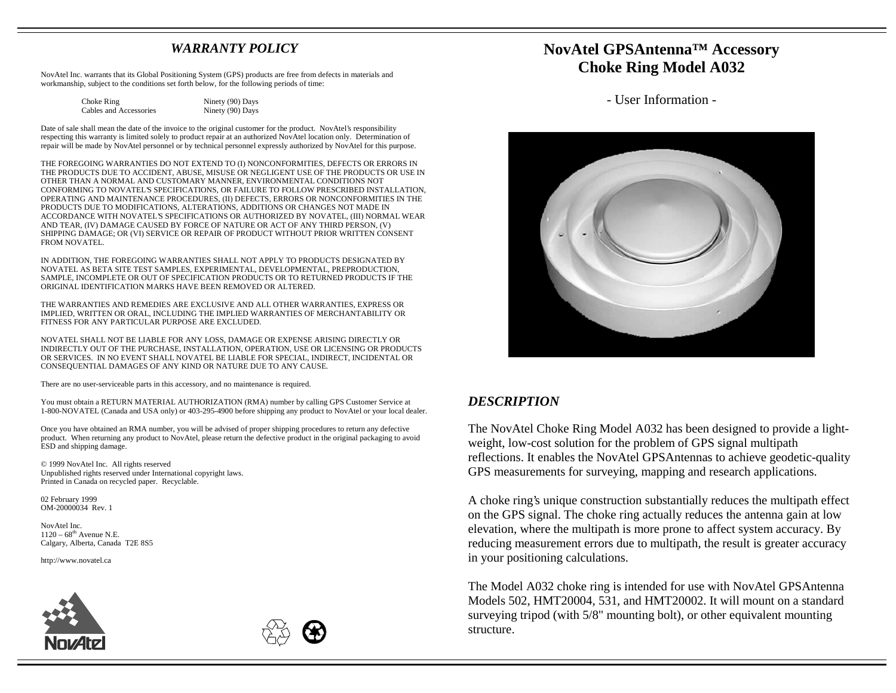#### *WARRANTY POLICY*

NovAtel Inc. warrants that its Global Positioning System (GPS) products are free from defects in materials and workmanship, subject to the conditions set forth below, for the following periods of time:

| Choke Ring             | Ninety (90) Days |
|------------------------|------------------|
| Cables and Accessories | Ninety (90) Days |
|                        |                  |

Date of sale shall mean the date of the invoice to the original customer for the product. NovAtel's responsibility respecting this warranty is limited solely to product repair at an authorized NovAtel location only. Determination of repair will be made by NovAtel personnel or by technical personnel expressly authorized by NovAtel for this purpose.

THE FOREGOING WARRANTIES DO NOT EXTEND TO (I) NONCONFORMITIES, DEFECTS OR ERRORS IN THE PRODUCTS DUE TO ACCIDENT, ABUSE, MISUSE OR NEGLIGENT USE OF THE PRODUCTS OR USE IN OTHER THAN A NORMAL AND CUSTOMARY MANNER, ENVIRONMENTAL CONDITIONS NOT CONFORMING TO NOVATEL'S SPECIFICATIONS, OR FAILURE TO FOLLOW PRESCRIBED INSTALLATION, OPERATING AND MAINTENANCE PROCEDURES, (II) DEFECTS, ERRORS OR NONCONFORMITIES IN THE PRODUCTS DUE TO MODIFICATIONS, ALTERATIONS, ADDITIONS OR CHANGES NOT MADE IN ACCORDANCE WITH NOVATEL'S SPECIFICATIONS OR AUTHORIZED BY NOVATEL, (III) NORMAL WEAR AND TEAR, (IV) DAMAGE CAUSED BY FORCE OF NATURE OR ACT OF ANY THIRD PERSON, (V) SHIPPING DAMAGE; OR (VI) SERVICE OR REPAIR OF PRODUCT WITHOUT PRIOR WRITTEN CONSENT FROM NOVATEL.

IN ADDITION, THE FOREGOING WARRANTIES SHALL NOT APPLY TO PRODUCTS DESIGNATED BY NOVATEL AS BETA SITE TEST SAMPLES, EXPERIMENTAL, DEVELOPMENTAL, PREPRODUCTION, SAMPLE, INCOMPLETE OR OUT OF SPECIFICATION PRODUCTS OR TO RETURNED PRODUCTS IF THE ORIGINAL IDENTIFICATION MARKS HAVE BEEN REMOVED OR ALTERED.

THE WARRANTIES AND REMEDIES ARE EXCLUSIVE AND ALL OTHER WARRANTIES, EXPRESS OR IMPLIED, WRITTEN OR ORAL, INCLUDING THE IMPLIED WARRANTIES OF MERCHANTABILITY OR FITNESS FOR ANY PARTICULAR PURPOSE ARE EXCLUDED.

NOVATEL SHALL NOT BE LIABLE FOR ANY LOSS, DAMAGE OR EXPENSE ARISING DIRECTLY OR INDIRECTLY OUT OF THE PURCHASE, INSTALLATION, OPERATION, USE OR LICENSING OR PRODUCTS OR SERVICES. IN NO EVENT SHALL NOVATEL BE LIABLE FOR SPECIAL, INDIRECT, INCIDENTAL OR CONSEQUENTIAL DAMAGES OF ANY KIND OR NATURE DUE TO ANY CAUSE.

There are no user-serviceable parts in this accessory, and no maintenance is required.

You must obtain a RETURN MATERIAL AUTHORIZATION (RMA) number by calling GPS Customer Service at 1-800-NOVATEL (Canada and USA only) or 403-295-4900 before shipping any product to NovAtel or your local dealer.

Once you have obtained an RMA number, you will be advised of proper shipping procedures to return any defective product. When returning any product to NovAtel, please return the defective product in the original packaging to avoid ESD and shipping damage.

© 1999 NovAtel Inc. All rights reserved Unpublished rights reserved under International copyright laws. Printed in Canada on recycled paper. Recyclable.

02 February 1999 OM-20000034 Rev. 1

NovAtel Inc. $1120 - 68$ <sup>th</sup> Avenue N.E. Calgary, Alberta, Canada T2E 8S5

http://www.novatel.ca





### **NovAtel GPSAntenna™ Accessory Choke Ring Model A032**

- User Information -



#### *DESCRIPTION*

The NovAtel Choke Ring Model A032 has been designed to provide a lightweight, low-cost solution for the problem of GPS signal multipath reflections. It enables the NovAtel GPSAntennas to achieve geodetic-quality GPS measurements for surveying, mapping and research applications.

A choke ring's unique construction substantially reduces the multipath effect on the GPS signal. The choke ring actually reduces the antenna gain at low elevation, where the multipath is more prone to affect system accuracy. By reducing measurement errors due to multipath, the result is greater accuracy in your positioning calculations.

The Model A032 choke ring is intended for use with NovAtel GPSAntenna Models 502, HMT20004, 531, and HMT20002. It will mount on a standard surveying tripod (with 5/8" mounting bolt), or other equivalent mounting structure.